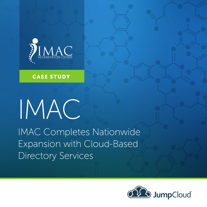

#### CASE STUDY

# IMAC

IMAC Completes Nationwide Expansion with Cloud-Based Directory Services

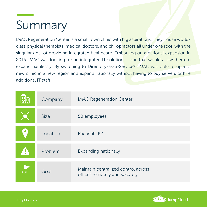## summary Summary

IMAC Regeneration Center is a small town clinic with big aspirations. They house worldclass physical therapists, medical doctors, and chiropractors all under one roof, with the singular goal of providing integrated healthcare. Embarking on a national expansion in 2016, IMAC was looking for an integrated IT solution – one that would allow them to expand painlessly. By switching to Directory-as-a-Service®, IMAC was able to open a new clinic in a new region and expand nationally without having to buy servers or hire additional IT staff.

| 開 | Company     | <b>IMAC Regeneration Center</b>                                      |
|---|-------------|----------------------------------------------------------------------|
|   | <b>Size</b> | 50 employees                                                         |
|   | Location    | Paducah, KY                                                          |
|   | Problem     | <b>Expanding nationally</b>                                          |
|   | Goal        | Maintain centralized control across<br>offices remotely and securely |

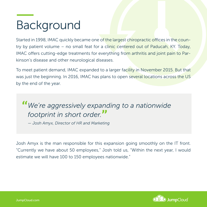#### $\overline{\mathsf{Backarou}}$ Background

Started in 1998, IMAC quickly became one of the largest chiropractic offices in the country by patient volume - no small feat for a clinic centered out of Paducah, KY. Today, IMAC offers cutting-edge treatments for everything from arthritis and joint pain to Parkinson's disease and other neurological diseases.

To meet patient demand, IMAC expanded to a larger facility in November 2015. But that was just the beginning. In 2016, IMAC has plans to open several locations across the US by the end of the year.

# **"***We're aggressively expanding to a nationwide footprint in short order.***"**

*— Josh Amyx, Director of HR and Marketing*

Josh Amyx is the man responsible for this expansion going smoothly on the IT front. "Currently we have about 50 employees," Josh told us, "Within the next year, I would estimate we will have 100 to 150 employees nationwide."

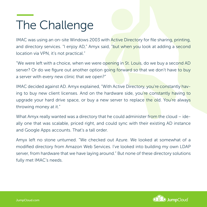### $\overline{\mathsf{The}}$  Chall The Challenge

IMAC was using an on-site Windows 2003 with Active Directory for file sharing, printing, and directory services. "I enjoy AD," Amyx said, "but when you look at adding a second location via VPN, it's not practical."

"We were left with a choice, when we were opening in St. Louis, do we buy a second AD server? Or do we figure out another option going forward so that we don't have to buy a server with every new clinic that we open?"

IMAC decided against AD. Amyx explained, "With Active Directory, you're constantly having to buy new client licenses. And on the hardware side, you're constantly having to upgrade your hard drive space, or buy a new server to replace the old. You're always throwing money at it."

What Amyx really wanted was a directory that he could administer from the cloud  $-$  ideally one that was scalable, priced right, and could sync with their existing AD instance and Google Apps accounts. That's a tall order.

Amyx left no stone unturned. "We checked out Azure. We looked at somewhat of a modified directory from Amazon Web Services. I've looked into building my own LDAP server, from hardware that we have laying around." But none of these directory solutions fully met IMAC's needs.